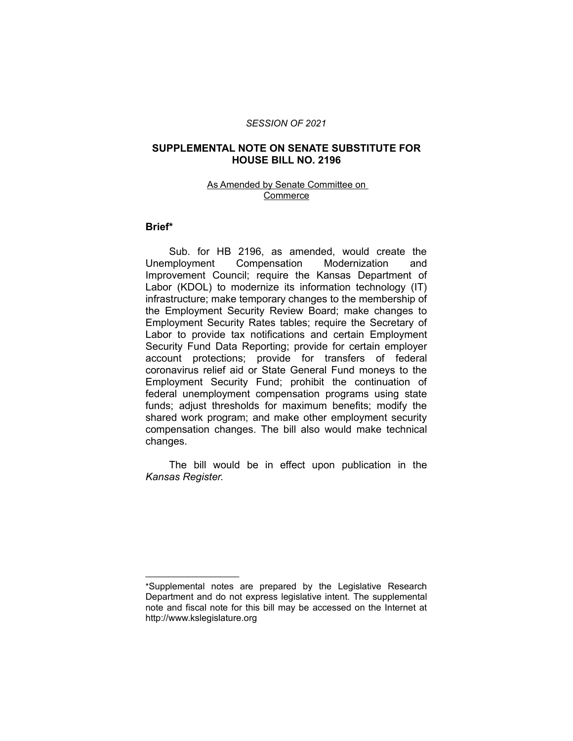#### *SESSION OF 2021*

#### **SUPPLEMENTAL NOTE ON SENATE SUBSTITUTE FOR HOUSE BILL NO. 2196**

#### As Amended by Senate Committee on Commerce

#### **Brief\***

Sub. for HB 2196, as amended, would create the Unemployment Compensation Modernization and Improvement Council; require the Kansas Department of Labor (KDOL) to modernize its information technology (IT) infrastructure; make temporary changes to the membership of the Employment Security Review Board; make changes to Employment Security Rates tables; require the Secretary of Labor to provide tax notifications and certain Employment Security Fund Data Reporting; provide for certain employer account protections; provide for transfers of federal coronavirus relief aid or State General Fund moneys to the Employment Security Fund; prohibit the continuation of federal unemployment compensation programs using state funds; adjust thresholds for maximum benefits; modify the shared work program; and make other employment security compensation changes. The bill also would make technical changes.

The bill would be in effect upon publication in the *Kansas Register.*

 $\overline{\phantom{a}}$  , where  $\overline{\phantom{a}}$  , where  $\overline{\phantom{a}}$ 

<sup>\*</sup>Supplemental notes are prepared by the Legislative Research Department and do not express legislative intent. The supplemental note and fiscal note for this bill may be accessed on the Internet at http://www.kslegislature.org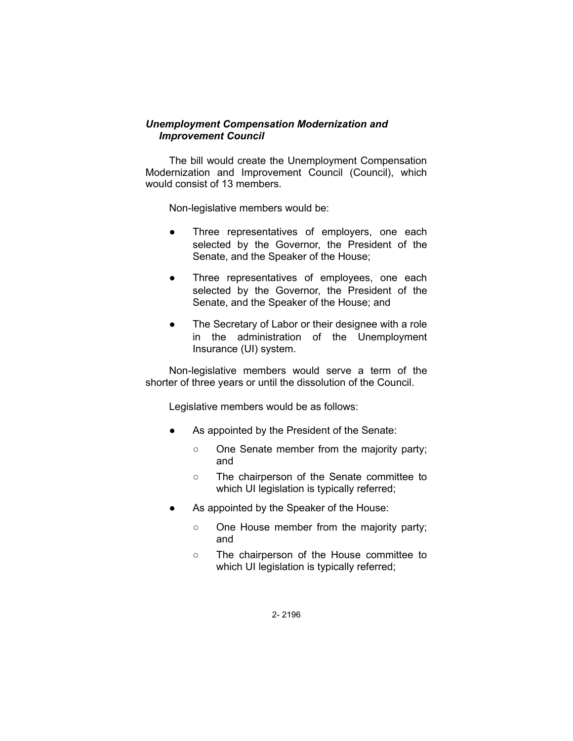## *Unemployment Compensation Modernization and Improvement Council*

The bill would create the Unemployment Compensation Modernization and Improvement Council (Council), which would consist of 13 members.

Non-legislative members would be:

- Three representatives of employers, one each selected by the Governor, the President of the Senate, and the Speaker of the House;
- Three representatives of employees, one each selected by the Governor, the President of the Senate, and the Speaker of the House; and
- The Secretary of Labor or their designee with a role in the administration of the Unemployment Insurance (UI) system.

Non-legislative members would serve a term of the shorter of three years or until the dissolution of the Council.

Legislative members would be as follows:

- As appointed by the President of the Senate:
	- One Senate member from the majority party; and
	- The chairperson of the Senate committee to which UI legislation is typically referred;
- As appointed by the Speaker of the House:
	- One House member from the majority party; and
	- The chairperson of the House committee to which UI legislation is typically referred;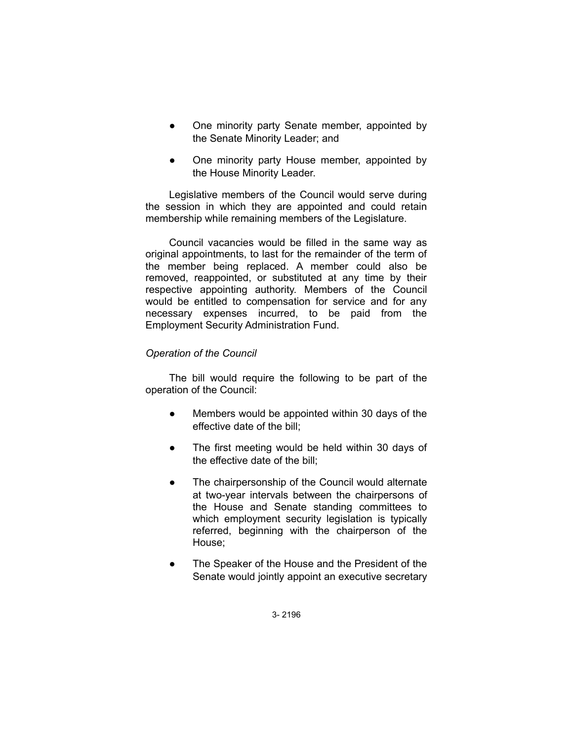- One minority party Senate member, appointed by the Senate Minority Leader; and
- One minority party House member, appointed by the House Minority Leader.

Legislative members of the Council would serve during the session in which they are appointed and could retain membership while remaining members of the Legislature.

Council vacancies would be filled in the same way as original appointments, to last for the remainder of the term of the member being replaced. A member could also be removed, reappointed, or substituted at any time by their respective appointing authority. Members of the Council would be entitled to compensation for service and for any necessary expenses incurred, to be paid from the Employment Security Administration Fund.

## *Operation of the Council*

The bill would require the following to be part of the operation of the Council:

- Members would be appointed within 30 days of the effective date of the bill;
- The first meeting would be held within 30 days of the effective date of the bill;
- The chairpersonship of the Council would alternate at two-year intervals between the chairpersons of the House and Senate standing committees to which employment security legislation is typically referred, beginning with the chairperson of the House;
- The Speaker of the House and the President of the Senate would jointly appoint an executive secretary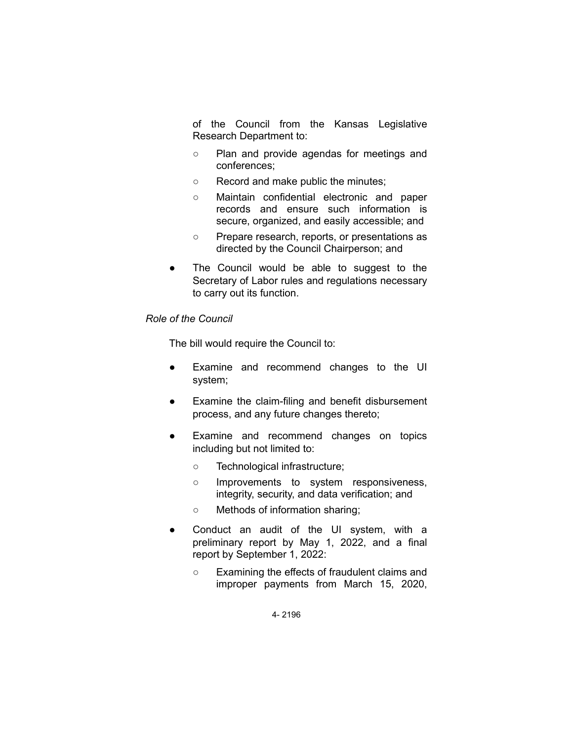of the Council from the Kansas Legislative Research Department to:

- Plan and provide agendas for meetings and conferences;
- Record and make public the minutes;
- Maintain confidential electronic and paper records and ensure such information is secure, organized, and easily accessible; and
- Prepare research, reports, or presentations as directed by the Council Chairperson; and
- The Council would be able to suggest to the Secretary of Labor rules and regulations necessary to carry out its function.

### *Role of the Council*

The bill would require the Council to:

- Examine and recommend changes to the UI system;
- Examine the claim-filing and benefit disbursement process, and any future changes thereto;
- Examine and recommend changes on topics including but not limited to:
	- Technological infrastructure;
	- Improvements to system responsiveness, integrity, security, and data verification; and
	- Methods of information sharing;
- Conduct an audit of the UI system, with a preliminary report by May 1, 2022, and a final report by September 1, 2022:
	- Examining the effects of fraudulent claims and improper payments from March 15, 2020,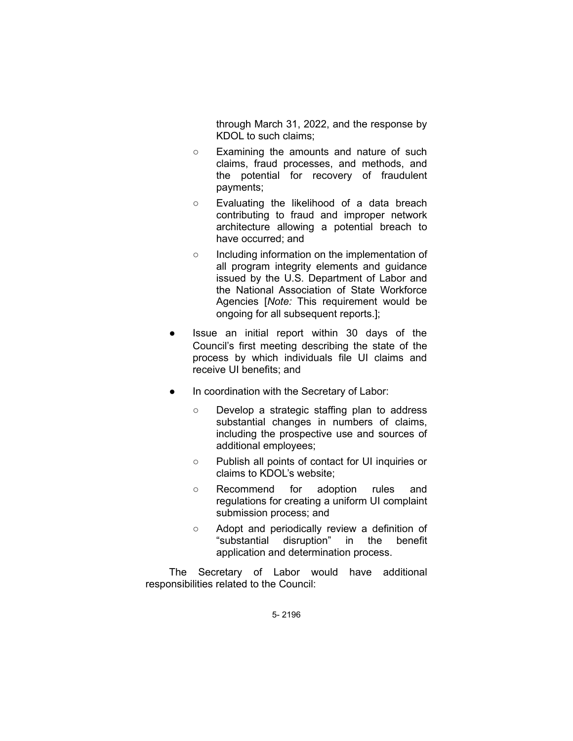through March 31, 2022, and the response by KDOL to such claims;

- Examining the amounts and nature of such claims, fraud processes, and methods, and the potential for recovery of fraudulent payments;
- Evaluating the likelihood of a data breach contributing to fraud and improper network architecture allowing a potential breach to have occurred; and
- Including information on the implementation of all program integrity elements and guidance issued by the U.S. Department of Labor and the National Association of State Workforce Agencies [*Note:* This requirement would be ongoing for all subsequent reports.];
- Issue an initial report within 30 days of the Council's first meeting describing the state of the process by which individuals file UI claims and receive UI benefits; and
- In coordination with the Secretary of Labor:
	- Develop a strategic staffing plan to address substantial changes in numbers of claims, including the prospective use and sources of additional employees;
	- Publish all points of contact for UI inquiries or claims to KDOL's website;
	- Recommend for adoption rules and regulations for creating a uniform UI complaint submission process; and
	- Adopt and periodically review a definition of "substantial disruption" in the benefit application and determination process.

The Secretary of Labor would have additional responsibilities related to the Council: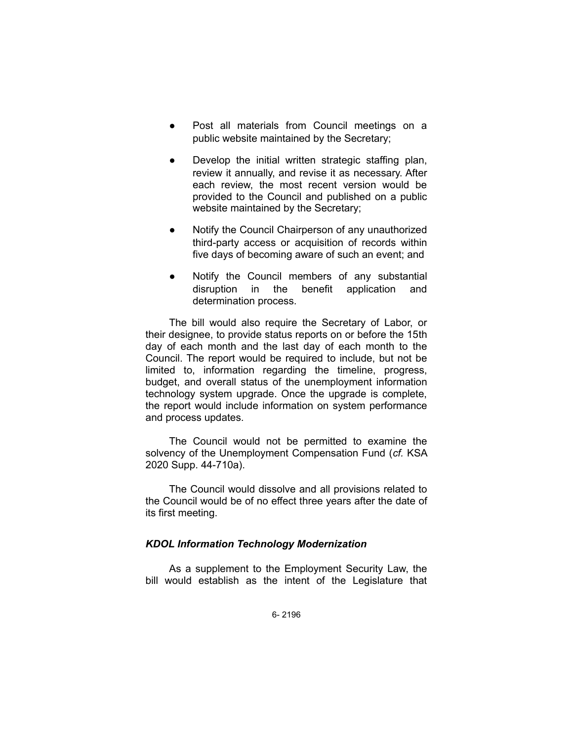- Post all materials from Council meetings on a public website maintained by the Secretary;
- Develop the initial written strategic staffing plan, review it annually, and revise it as necessary. After each review, the most recent version would be provided to the Council and published on a public website maintained by the Secretary;
- Notify the Council Chairperson of any unauthorized third-party access or acquisition of records within five days of becoming aware of such an event; and
- Notify the Council members of any substantial disruption in the benefit application and determination process.

The bill would also require the Secretary of Labor, or their designee, to provide status reports on or before the 15th day of each month and the last day of each month to the Council. The report would be required to include, but not be limited to, information regarding the timeline, progress, budget, and overall status of the unemployment information technology system upgrade. Once the upgrade is complete, the report would include information on system performance and process updates.

The Council would not be permitted to examine the solvency of the Unemployment Compensation Fund (*cf.* KSA 2020 Supp. 44-710a).

The Council would dissolve and all provisions related to the Council would be of no effect three years after the date of its first meeting.

### *KDOL Information Technology Modernization*

As a supplement to the Employment Security Law, the bill would establish as the intent of the Legislature that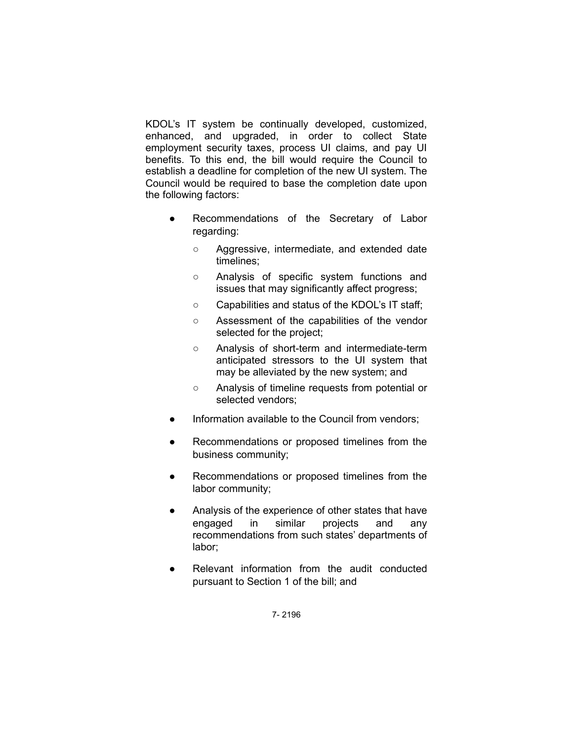KDOL's IT system be continually developed, customized, enhanced, and upgraded, in order to collect State employment security taxes, process UI claims, and pay UI benefits. To this end, the bill would require the Council to establish a deadline for completion of the new UI system. The Council would be required to base the completion date upon the following factors:

- Recommendations of the Secretary of Labor regarding:
	- Aggressive, intermediate, and extended date timelines;
	- Analysis of specific system functions and issues that may significantly affect progress;
	- Capabilities and status of the KDOL's IT staff;
	- Assessment of the capabilities of the vendor selected for the project;
	- Analysis of short-term and intermediate-term anticipated stressors to the UI system that may be alleviated by the new system; and
	- Analysis of timeline requests from potential or selected vendors;
- Information available to the Council from vendors;
- Recommendations or proposed timelines from the business community;
- Recommendations or proposed timelines from the labor community;
- Analysis of the experience of other states that have engaged in similar projects and any recommendations from such states' departments of labor;
- Relevant information from the audit conducted pursuant to Section 1 of the bill; and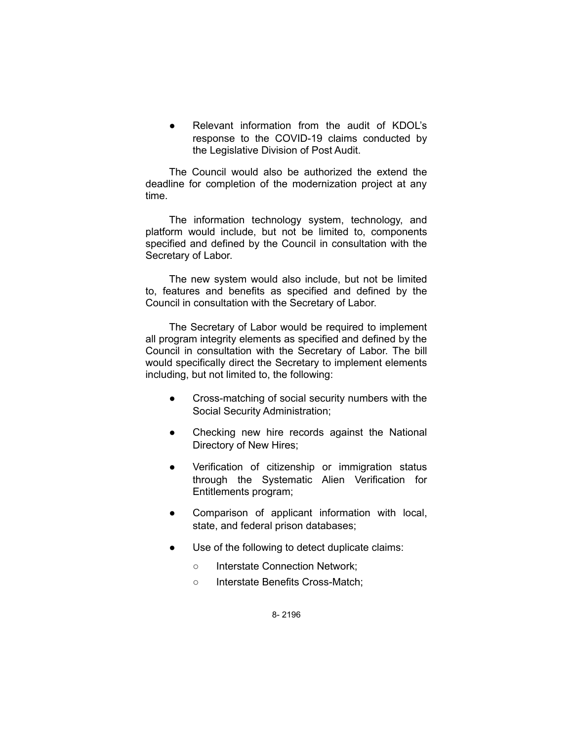Relevant information from the audit of KDOL's response to the COVID-19 claims conducted by the Legislative Division of Post Audit.

The Council would also be authorized the extend the deadline for completion of the modernization project at any time.

The information technology system, technology, and platform would include, but not be limited to, components specified and defined by the Council in consultation with the Secretary of Labor.

The new system would also include, but not be limited to, features and benefits as specified and defined by the Council in consultation with the Secretary of Labor.

The Secretary of Labor would be required to implement all program integrity elements as specified and defined by the Council in consultation with the Secretary of Labor. The bill would specifically direct the Secretary to implement elements including, but not limited to, the following:

- Cross-matching of social security numbers with the Social Security Administration;
- Checking new hire records against the National Directory of New Hires;
- Verification of citizenship or immigration status through the Systematic Alien Verification for Entitlements program;
- Comparison of applicant information with local, state, and federal prison databases;
- Use of the following to detect duplicate claims:
	- Interstate Connection Network;
	- Interstate Benefits Cross-Match;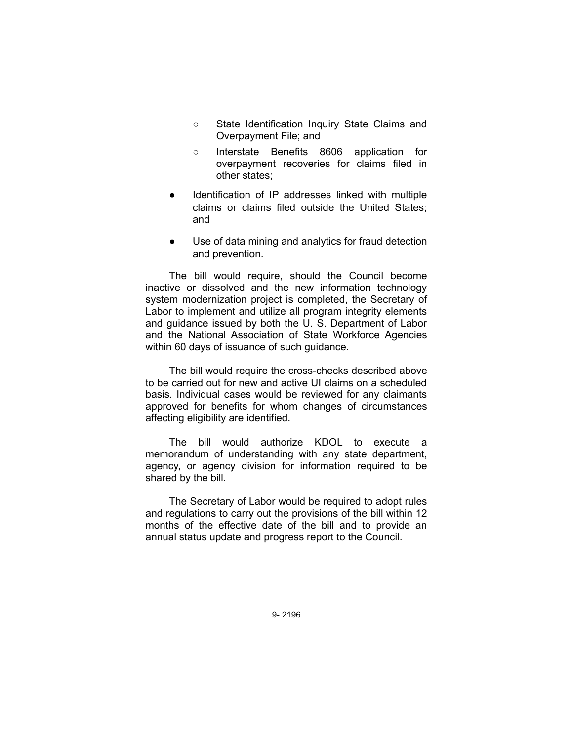- State Identification Inquiry State Claims and Overpayment File; and
- Interstate Benefits 8606 application for overpayment recoveries for claims filed in other states;
- Identification of IP addresses linked with multiple claims or claims filed outside the United States; and
- Use of data mining and analytics for fraud detection and prevention.

The bill would require, should the Council become inactive or dissolved and the new information technology system modernization project is completed, the Secretary of Labor to implement and utilize all program integrity elements and guidance issued by both the U. S. Department of Labor and the National Association of State Workforce Agencies within 60 days of issuance of such guidance.

The bill would require the cross-checks described above to be carried out for new and active UI claims on a scheduled basis. Individual cases would be reviewed for any claimants approved for benefits for whom changes of circumstances affecting eligibility are identified.

The bill would authorize KDOL to execute a memorandum of understanding with any state department, agency, or agency division for information required to be shared by the bill.

The Secretary of Labor would be required to adopt rules and regulations to carry out the provisions of the bill within 12 months of the effective date of the bill and to provide an annual status update and progress report to the Council.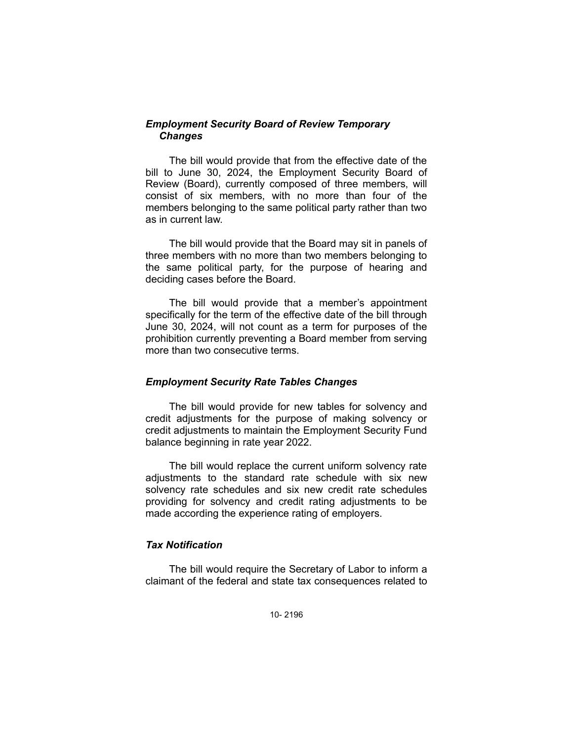## *Employment Security Board of Review Temporary Changes*

The bill would provide that from the effective date of the bill to June 30, 2024, the Employment Security Board of Review (Board), currently composed of three members, will consist of six members, with no more than four of the members belonging to the same political party rather than two as in current law.

The bill would provide that the Board may sit in panels of three members with no more than two members belonging to the same political party, for the purpose of hearing and deciding cases before the Board.

The bill would provide that a member's appointment specifically for the term of the effective date of the bill through June 30, 2024, will not count as a term for purposes of the prohibition currently preventing a Board member from serving more than two consecutive terms.

### *Employment Security Rate Tables Changes*

The bill would provide for new tables for solvency and credit adjustments for the purpose of making solvency or credit adjustments to maintain the Employment Security Fund balance beginning in rate year 2022.

The bill would replace the current uniform solvency rate adjustments to the standard rate schedule with six new solvency rate schedules and six new credit rate schedules providing for solvency and credit rating adjustments to be made according the experience rating of employers.

### *Tax Notification*

The bill would require the Secretary of Labor to inform a claimant of the federal and state tax consequences related to

10- 2196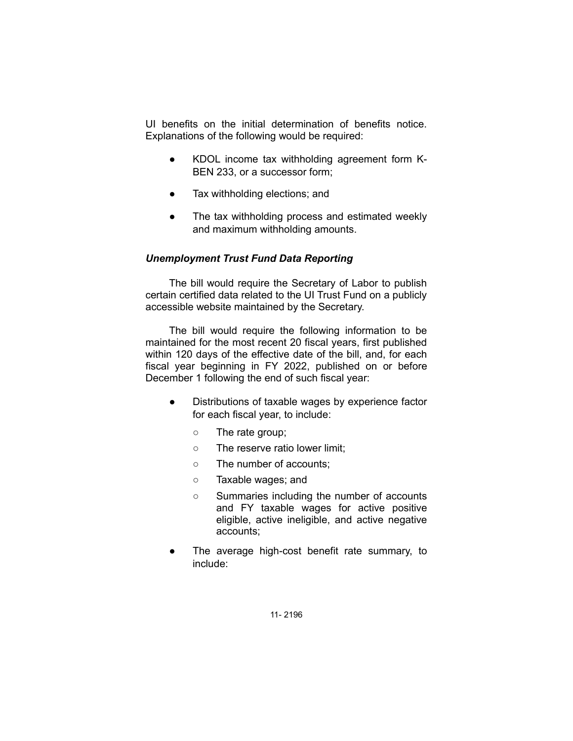UI benefits on the initial determination of benefits notice. Explanations of the following would be required:

- KDOL income tax withholding agreement form K-BEN 233, or a successor form;
- Tax withholding elections; and
- The tax withholding process and estimated weekly and maximum withholding amounts.

### *Unemployment Trust Fund Data Reporting*

The bill would require the Secretary of Labor to publish certain certified data related to the UI Trust Fund on a publicly accessible website maintained by the Secretary.

The bill would require the following information to be maintained for the most recent 20 fiscal years, first published within 120 days of the effective date of the bill, and, for each fiscal year beginning in FY 2022, published on or before December 1 following the end of such fiscal year:

- Distributions of taxable wages by experience factor for each fiscal year, to include:
	- The rate group;
	- The reserve ratio lower limit;
	- The number of accounts;
	- Taxable wages; and
	- Summaries including the number of accounts and FY taxable wages for active positive eligible, active ineligible, and active negative accounts;
- The average high-cost benefit rate summary, to include: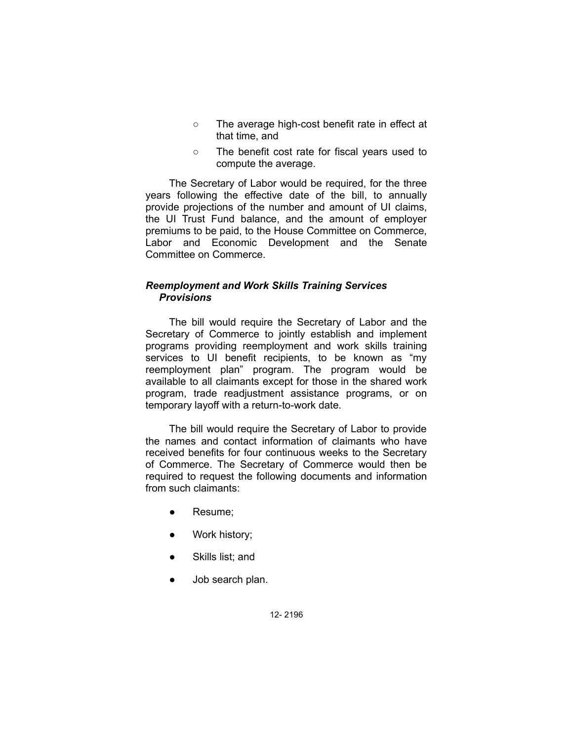- The average high-cost benefit rate in effect at that time, and
- The benefit cost rate for fiscal years used to compute the average.

The Secretary of Labor would be required, for the three years following the effective date of the bill, to annually provide projections of the number and amount of UI claims, the UI Trust Fund balance, and the amount of employer premiums to be paid, to the House Committee on Commerce, Labor and Economic Development and the Senate Committee on Commerce.

## *Reemployment and Work Skills Training Services Provisions*

The bill would require the Secretary of Labor and the Secretary of Commerce to jointly establish and implement programs providing reemployment and work skills training services to UI benefit recipients, to be known as "my reemployment plan" program. The program would be available to all claimants except for those in the shared work program, trade readjustment assistance programs, or on temporary layoff with a return-to-work date.

The bill would require the Secretary of Labor to provide the names and contact information of claimants who have received benefits for four continuous weeks to the Secretary of Commerce. The Secretary of Commerce would then be required to request the following documents and information from such claimants:

- Resume;
- Work history;
- Skills list; and
- Job search plan.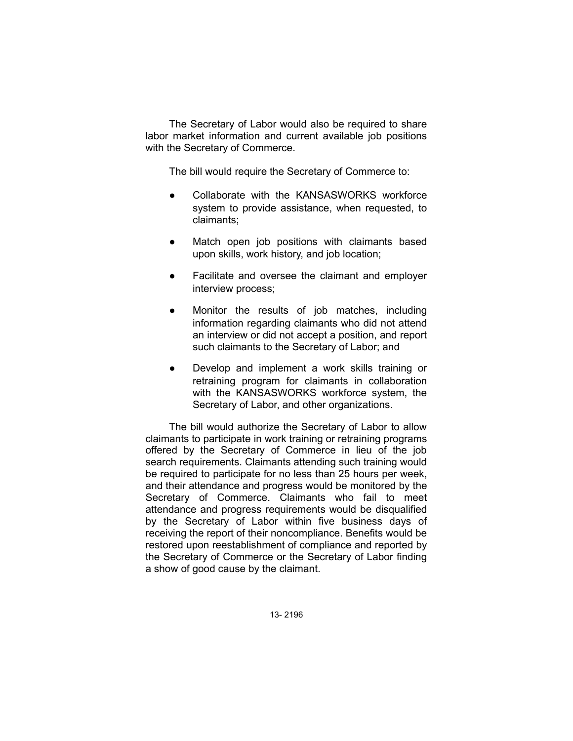The Secretary of Labor would also be required to share labor market information and current available job positions with the Secretary of Commerce.

The bill would require the Secretary of Commerce to:

- Collaborate with the KANSASWORKS workforce system to provide assistance, when requested, to claimants;
- Match open job positions with claimants based upon skills, work history, and job location;
- Facilitate and oversee the claimant and employer interview process;
- Monitor the results of job matches, including information regarding claimants who did not attend an interview or did not accept a position, and report such claimants to the Secretary of Labor; and
- Develop and implement a work skills training or retraining program for claimants in collaboration with the KANSASWORKS workforce system, the Secretary of Labor, and other organizations.

The bill would authorize the Secretary of Labor to allow claimants to participate in work training or retraining programs offered by the Secretary of Commerce in lieu of the job search requirements. Claimants attending such training would be required to participate for no less than 25 hours per week, and their attendance and progress would be monitored by the Secretary of Commerce. Claimants who fail to meet attendance and progress requirements would be disqualified by the Secretary of Labor within five business days of receiving the report of their noncompliance. Benefits would be restored upon reestablishment of compliance and reported by the Secretary of Commerce or the Secretary of Labor finding a show of good cause by the claimant.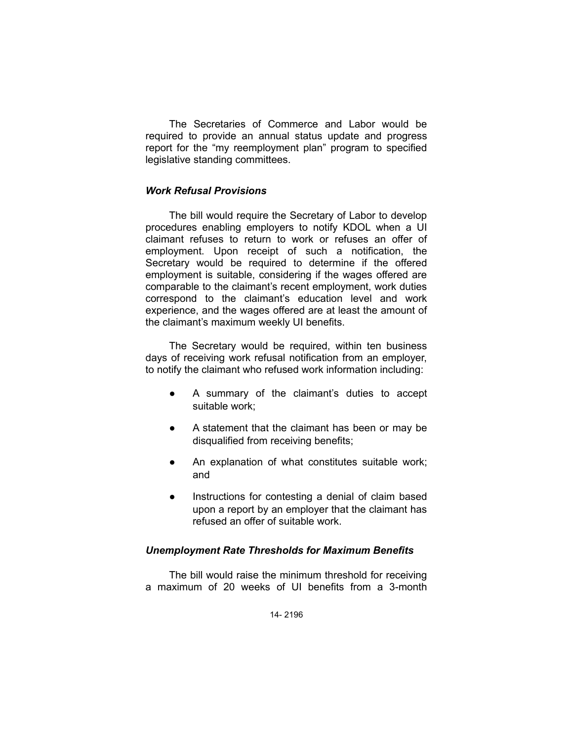The Secretaries of Commerce and Labor would be required to provide an annual status update and progress report for the "my reemployment plan" program to specified legislative standing committees.

#### *Work Refusal Provisions*

The bill would require the Secretary of Labor to develop procedures enabling employers to notify KDOL when a UI claimant refuses to return to work or refuses an offer of employment. Upon receipt of such a notification, the Secretary would be required to determine if the offered employment is suitable, considering if the wages offered are comparable to the claimant's recent employment, work duties correspond to the claimant's education level and work experience, and the wages offered are at least the amount of the claimant's maximum weekly UI benefits.

The Secretary would be required, within ten business days of receiving work refusal notification from an employer, to notify the claimant who refused work information including:

- A summary of the claimant's duties to accept suitable work;
- A statement that the claimant has been or may be disqualified from receiving benefits;
- An explanation of what constitutes suitable work; and
- Instructions for contesting a denial of claim based upon a report by an employer that the claimant has refused an offer of suitable work.

### *Unemployment Rate Thresholds for Maximum Benefits*

The bill would raise the minimum threshold for receiving a maximum of 20 weeks of UI benefits from a 3-month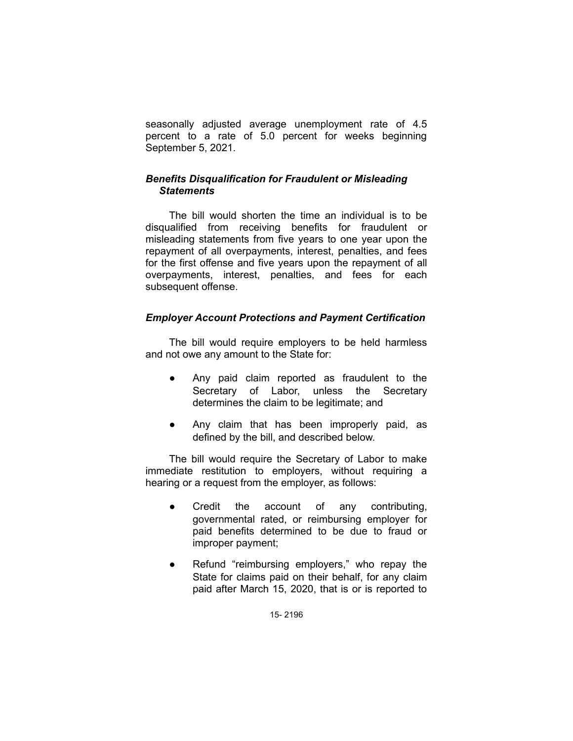seasonally adjusted average unemployment rate of 4.5 percent to a rate of 5.0 percent for weeks beginning September 5, 2021.

## *Benefits Disqualification for Fraudulent or Misleading Statements*

The bill would shorten the time an individual is to be disqualified from receiving benefits for fraudulent or misleading statements from five years to one year upon the repayment of all overpayments, interest, penalties, and fees for the first offense and five years upon the repayment of all overpayments, interest, penalties, and fees for each subsequent offense.

# *Employer Account Protections and Payment Certification*

The bill would require employers to be held harmless and not owe any amount to the State for:

- Any paid claim reported as fraudulent to the Secretary of Labor, unless the Secretary determines the claim to be legitimate; and
- Any claim that has been improperly paid, as defined by the bill, and described below.

The bill would require the Secretary of Labor to make immediate restitution to employers, without requiring a hearing or a request from the employer, as follows:

- Credit the account of any contributing, governmental rated, or reimbursing employer for paid benefits determined to be due to fraud or improper payment;
- Refund "reimbursing employers," who repay the State for claims paid on their behalf, for any claim paid after March 15, 2020, that is or is reported to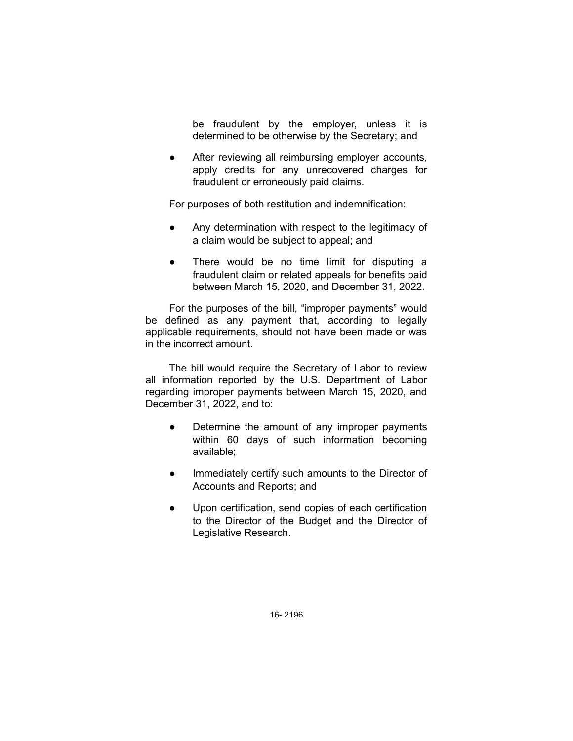be fraudulent by the employer, unless it is determined to be otherwise by the Secretary; and

● After reviewing all reimbursing employer accounts, apply credits for any unrecovered charges for fraudulent or erroneously paid claims.

For purposes of both restitution and indemnification:

- Any determination with respect to the legitimacy of a claim would be subject to appeal; and
- There would be no time limit for disputing a fraudulent claim or related appeals for benefits paid between March 15, 2020, and December 31, 2022.

For the purposes of the bill, "improper payments" would be defined as any payment that, according to legally applicable requirements, should not have been made or was in the incorrect amount.

The bill would require the Secretary of Labor to review all information reported by the U.S. Department of Labor regarding improper payments between March 15, 2020, and December 31, 2022, and to:

- Determine the amount of any improper payments within 60 days of such information becoming available;
- Immediately certify such amounts to the Director of Accounts and Reports; and
- Upon certification, send copies of each certification to the Director of the Budget and the Director of Legislative Research.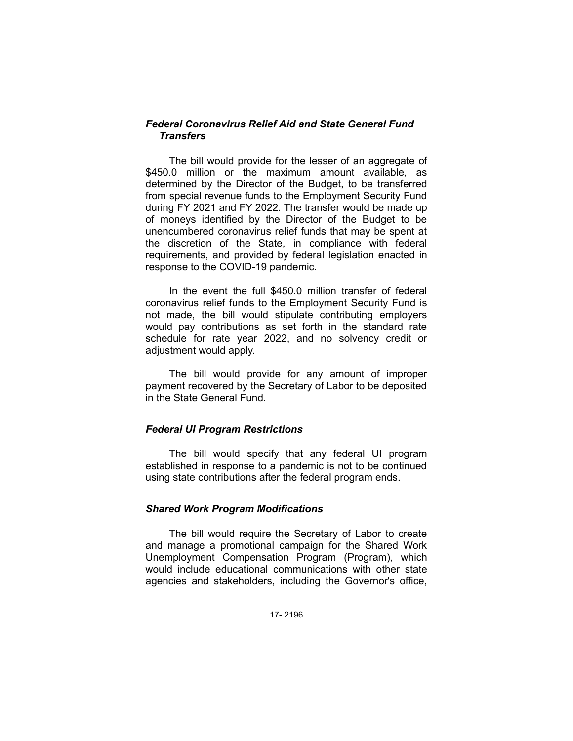## *Federal Coronavirus Relief Aid and State General Fund Transfers*

The bill would provide for the lesser of an aggregate of \$450.0 million or the maximum amount available, as determined by the Director of the Budget, to be transferred from special revenue funds to the Employment Security Fund during FY 2021 and FY 2022. The transfer would be made up of moneys identified by the Director of the Budget to be unencumbered coronavirus relief funds that may be spent at the discretion of the State, in compliance with federal requirements, and provided by federal legislation enacted in response to the COVID-19 pandemic.

In the event the full \$450.0 million transfer of federal coronavirus relief funds to the Employment Security Fund is not made, the bill would stipulate contributing employers would pay contributions as set forth in the standard rate schedule for rate year 2022, and no solvency credit or adjustment would apply.

The bill would provide for any amount of improper payment recovered by the Secretary of Labor to be deposited in the State General Fund.

### *Federal UI Program Restrictions*

The bill would specify that any federal UI program established in response to a pandemic is not to be continued using state contributions after the federal program ends.

### *Shared Work Program Modifications*

The bill would require the Secretary of Labor to create and manage a promotional campaign for the Shared Work Unemployment Compensation Program (Program), which would include educational communications with other state agencies and stakeholders, including the Governor's office,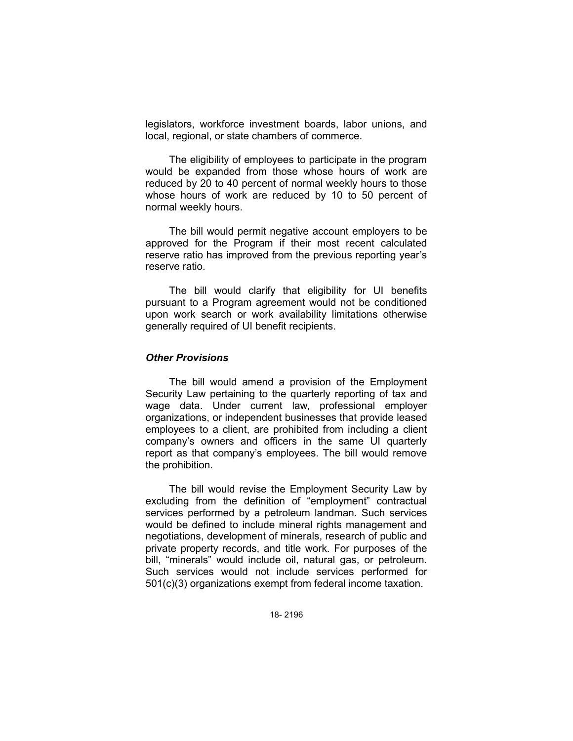legislators, workforce investment boards, labor unions, and local, regional, or state chambers of commerce.

The eligibility of employees to participate in the program would be expanded from those whose hours of work are reduced by 20 to 40 percent of normal weekly hours to those whose hours of work are reduced by 10 to 50 percent of normal weekly hours.

The bill would permit negative account employers to be approved for the Program if their most recent calculated reserve ratio has improved from the previous reporting year's reserve ratio.

The bill would clarify that eligibility for UI benefits pursuant to a Program agreement would not be conditioned upon work search or work availability limitations otherwise generally required of UI benefit recipients.

#### *Other Provisions*

The bill would amend a provision of the Employment Security Law pertaining to the quarterly reporting of tax and wage data. Under current law, professional employer organizations, or independent businesses that provide leased employees to a client, are prohibited from including a client company's owners and officers in the same UI quarterly report as that company's employees. The bill would remove the prohibition.

The bill would revise the Employment Security Law by excluding from the definition of "employment" contractual services performed by a petroleum landman. Such services would be defined to include mineral rights management and negotiations, development of minerals, research of public and private property records, and title work. For purposes of the bill, "minerals" would include oil, natural gas, or petroleum. Such services would not include services performed for 501(c)(3) organizations exempt from federal income taxation.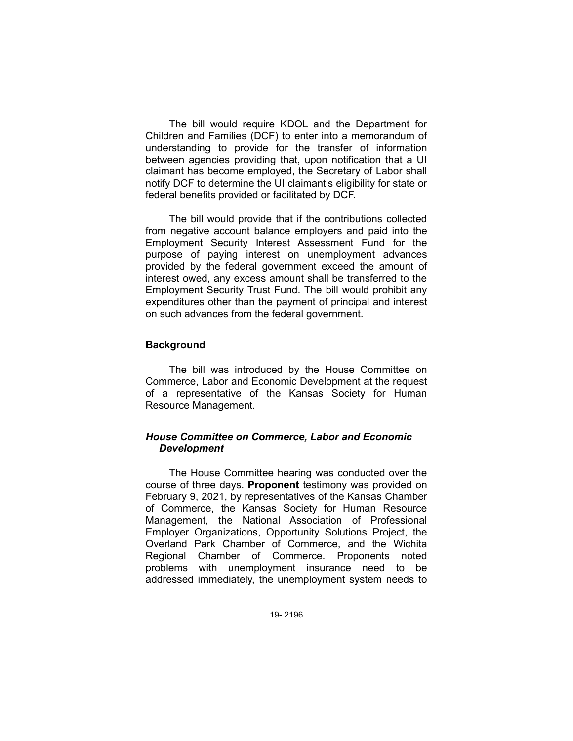The bill would require KDOL and the Department for Children and Families (DCF) to enter into a memorandum of understanding to provide for the transfer of information between agencies providing that, upon notification that a UI claimant has become employed, the Secretary of Labor shall notify DCF to determine the UI claimant's eligibility for state or federal benefits provided or facilitated by DCF.

The bill would provide that if the contributions collected from negative account balance employers and paid into the Employment Security Interest Assessment Fund for the purpose of paying interest on unemployment advances provided by the federal government exceed the amount of interest owed, any excess amount shall be transferred to the Employment Security Trust Fund. The bill would prohibit any expenditures other than the payment of principal and interest on such advances from the federal government.

#### **Background**

The bill was introduced by the House Committee on Commerce, Labor and Economic Development at the request of a representative of the Kansas Society for Human Resource Management.

### *House Committee on Commerce, Labor and Economic Development*

The House Committee hearing was conducted over the course of three days. **Proponent** testimony was provided on February 9, 2021, by representatives of the Kansas Chamber of Commerce, the Kansas Society for Human Resource Management, the National Association of Professional Employer Organizations, Opportunity Solutions Project, the Overland Park Chamber of Commerce, and the Wichita Regional Chamber of Commerce. Proponents noted problems with unemployment insurance need to be addressed immediately, the unemployment system needs to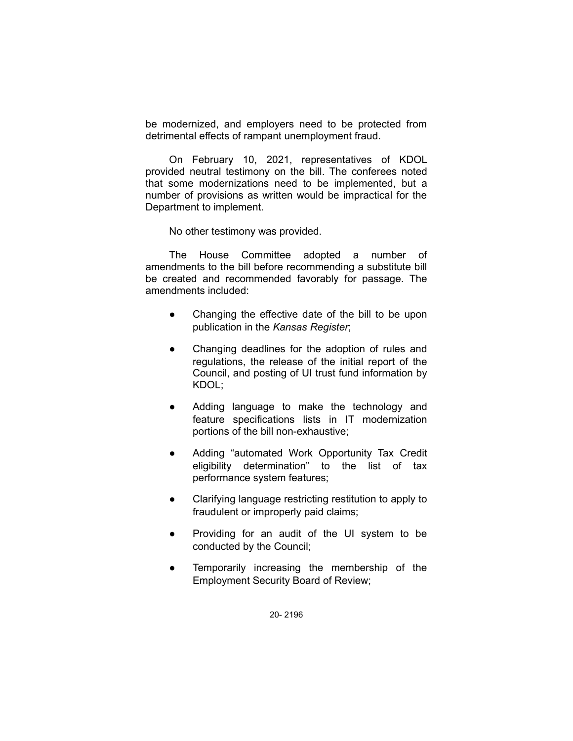be modernized, and employers need to be protected from detrimental effects of rampant unemployment fraud.

On February 10, 2021, representatives of KDOL provided neutral testimony on the bill. The conferees noted that some modernizations need to be implemented, but a number of provisions as written would be impractical for the Department to implement.

No other testimony was provided.

The House Committee adopted a number of amendments to the bill before recommending a substitute bill be created and recommended favorably for passage. The amendments included:

- Changing the effective date of the bill to be upon publication in the *Kansas Register*;
- Changing deadlines for the adoption of rules and regulations, the release of the initial report of the Council, and posting of UI trust fund information by KDOL;
- Adding language to make the technology and feature specifications lists in IT modernization portions of the bill non-exhaustive;
- Adding "automated Work Opportunity Tax Credit eligibility determination" to the list of tax performance system features;
- Clarifying language restricting restitution to apply to fraudulent or improperly paid claims;
- Providing for an audit of the UI system to be conducted by the Council;
- Temporarily increasing the membership of the Employment Security Board of Review;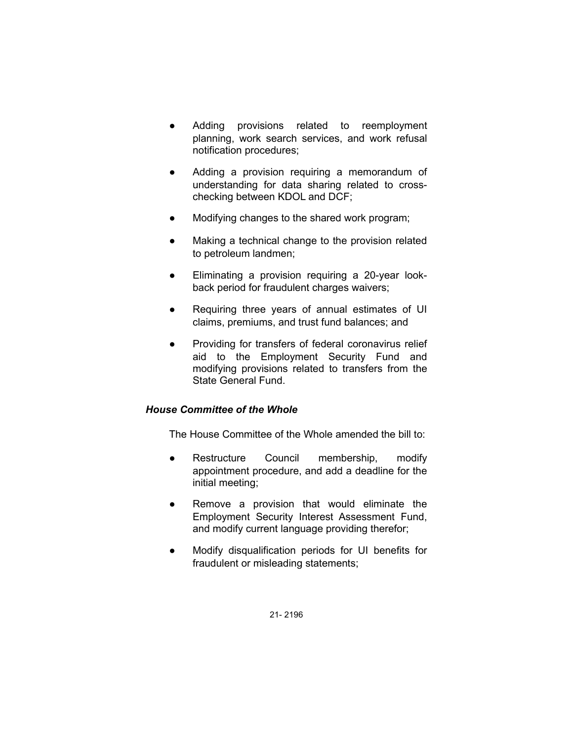- Adding provisions related to reemployment planning, work search services, and work refusal notification procedures;
- Adding a provision requiring a memorandum of understanding for data sharing related to crosschecking between KDOL and DCF;
- Modifying changes to the shared work program;
- Making a technical change to the provision related to petroleum landmen;
- Eliminating a provision requiring a 20-year lookback period for fraudulent charges waivers;
- Requiring three years of annual estimates of UI claims, premiums, and trust fund balances; and
- Providing for transfers of federal coronavirus relief aid to the Employment Security Fund and modifying provisions related to transfers from the State General Fund.

# *House Committee of the Whole*

The House Committee of the Whole amended the bill to:

- Restructure Council membership, modify appointment procedure, and add a deadline for the initial meeting;
- Remove a provision that would eliminate the Employment Security Interest Assessment Fund, and modify current language providing therefor;
- Modify disqualification periods for UI benefits for fraudulent or misleading statements;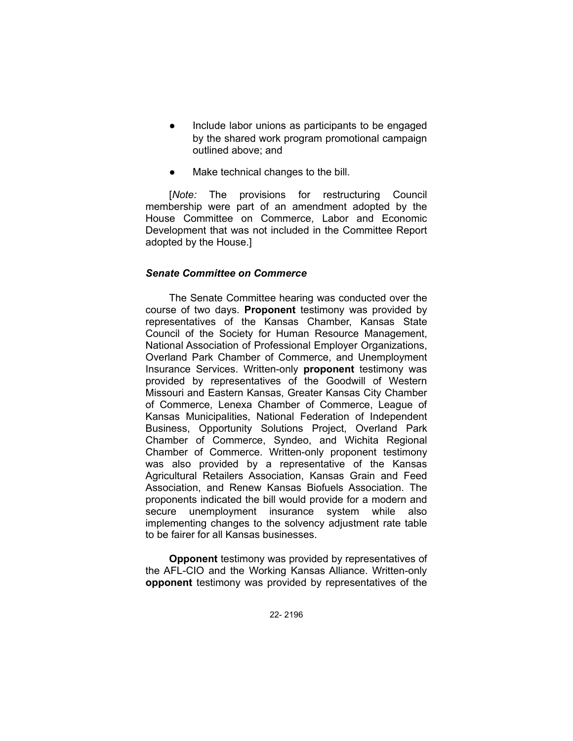- Include labor unions as participants to be engaged by the shared work program promotional campaign outlined above; and
- Make technical changes to the bill.

[*Note:* The provisions for restructuring Council membership were part of an amendment adopted by the House Committee on Commerce, Labor and Economic Development that was not included in the Committee Report adopted by the House.]

## *Senate Committee on Commerce*

The Senate Committee hearing was conducted over the course of two days. **Proponent** testimony was provided by representatives of the Kansas Chamber, Kansas State Council of the Society for Human Resource Management, National Association of Professional Employer Organizations, Overland Park Chamber of Commerce, and Unemployment Insurance Services. Written-only **proponent** testimony was provided by representatives of the Goodwill of Western Missouri and Eastern Kansas, Greater Kansas City Chamber of Commerce, Lenexa Chamber of Commerce, League of Kansas Municipalities, National Federation of Independent Business, Opportunity Solutions Project, Overland Park Chamber of Commerce, Syndeo, and Wichita Regional Chamber of Commerce. Written-only proponent testimony was also provided by a representative of the Kansas Agricultural Retailers Association, Kansas Grain and Feed Association, and Renew Kansas Biofuels Association. The proponents indicated the bill would provide for a modern and secure unemployment insurance system while also implementing changes to the solvency adjustment rate table to be fairer for all Kansas businesses.

**Opponent** testimony was provided by representatives of the AFL-CIO and the Working Kansas Alliance. Written-only **opponent** testimony was provided by representatives of the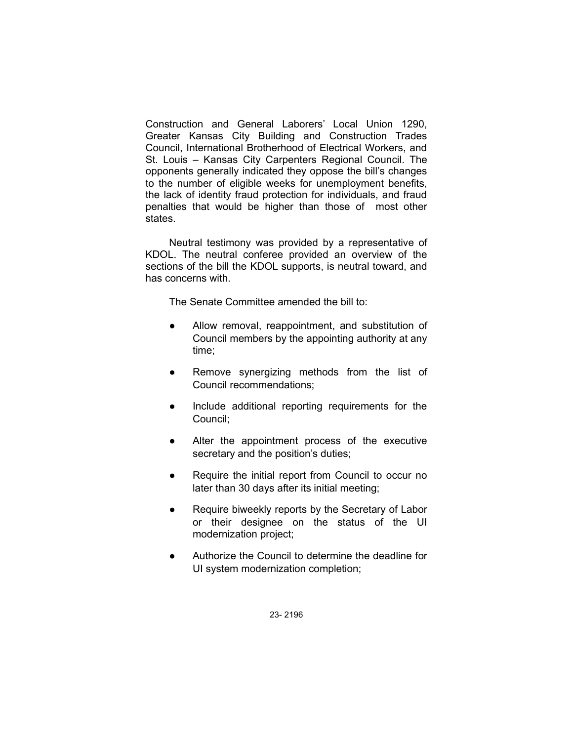Construction and General Laborers' Local Union 1290, Greater Kansas City Building and Construction Trades Council, International Brotherhood of Electrical Workers, and St. Louis – Kansas City Carpenters Regional Council. The opponents generally indicated they oppose the bill's changes to the number of eligible weeks for unemployment benefits, the lack of identity fraud protection for individuals, and fraud penalties that would be higher than those of most other states.

Neutral testimony was provided by a representative of KDOL. The neutral conferee provided an overview of the sections of the bill the KDOL supports, is neutral toward, and has concerns with.

The Senate Committee amended the bill to:

- Allow removal, reappointment, and substitution of Council members by the appointing authority at any time;
- Remove synergizing methods from the list of Council recommendations;
- Include additional reporting requirements for the Council;
- Alter the appointment process of the executive secretary and the position's duties;
- Require the initial report from Council to occur no later than 30 days after its initial meeting;
- Require biweekly reports by the Secretary of Labor or their designee on the status of the UI modernization project;
- Authorize the Council to determine the deadline for UI system modernization completion;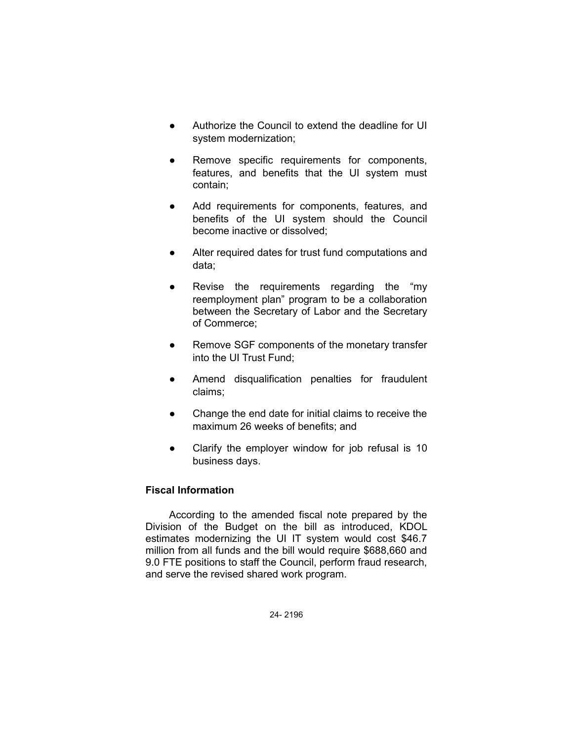- Authorize the Council to extend the deadline for UI system modernization;
- Remove specific requirements for components, features, and benefits that the UI system must contain;
- Add requirements for components, features, and benefits of the UI system should the Council become inactive or dissolved;
- Alter required dates for trust fund computations and data;
- Revise the requirements regarding the "my reemployment plan" program to be a collaboration between the Secretary of Labor and the Secretary of Commerce;
- Remove SGF components of the monetary transfer into the UI Trust Fund;
- Amend disqualification penalties for fraudulent claims;
- Change the end date for initial claims to receive the maximum 26 weeks of benefits; and
- Clarify the employer window for job refusal is 10 business days.

# **Fiscal Information**

According to the amended fiscal note prepared by the Division of the Budget on the bill as introduced, KDOL estimates modernizing the UI IT system would cost \$46.7 million from all funds and the bill would require \$688,660 and 9.0 FTE positions to staff the Council, perform fraud research, and serve the revised shared work program.